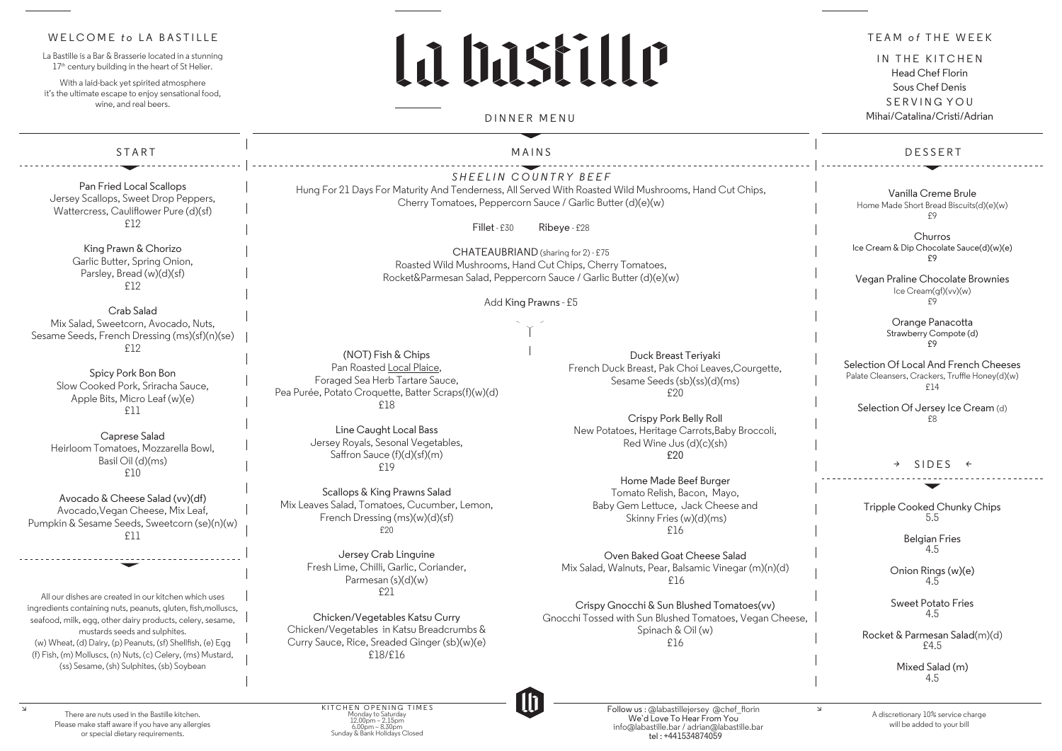*SHEELIN COUNTRY BEEF* Hung For 21 Days For Maturity And Tenderness, All Served With Roasted Wild Mushrooms, Hand Cut Chips, Cherry Tomatoes, Peppercorn Sauce / Garlic Butter (d)(e)(w)

Fillet - £30 Ribeye - £28

CHATEAUBRIAND (sharing for 2) - £75 Roasted Wild Mushrooms, Hand Cut Chips, Cherry Tomatoes, Rocket&Parmesan Salad, Peppercorn Sauce / Garlic Butter (d)(e)(w)

Add King Prawns - £5

START 

Pan Fried Local Scallops Jersey Scallops, Sweet Drop Peppers, Wattercress, Cauliflower Pure (d)(sf) £12

> King Prawn & Chorizo Garlic Butter, Spring Onion, Parsley, Bread (w)(d)(sf) £12

Crab Salad Mix Salad, Sweetcorn, Avocado, Nuts, Sesame Seeds, French Dressing (ms)(sf)(n)(se) £12

**Churros** Ice Cream & Dip Chocolate Sauce(d)(w)(e) £9

Spicy Pork Bon Bon Slow Cooked Pork, Sriracha Sauce, Apple Bits, Micro Leaf (w)(e) £11

Caprese Salad Heirloom Tomatoes, Mozzarella Bowl, Basil Oil (d)(ms) £10

Selection Of Jersey Ice Cream (d) £8

Avocado & Cheese Salad (vv)(df) Avocado,Vegan Cheese, Mix Leaf, Pumpkin & Sesame Seeds, Sweetcorn (se)(n)(w) £11

All our dishes are created in our kitchen which uses ingredients containing nuts, peanuts, gluten, fish,molluscs, seafood, milk, egg, other dairy products, celery, sesame, mustards seeds and sulphites. (w) Wheat, (d) Dairy, (p) Peanuts, (sf) Shellfish, (e) Egg (f) Fish, (m) Molluscs, (n) Nuts, (c) Celery, (ms) Mustard, (ss) Sesame, (sh) Sulphites, (sb) Soybean

Jersey Crab Linguine Fresh Lime, Chilli, Garlic, Coriander, Parmesan (s)(d)(w) £21

### DESSERT

Vanilla Creme Brule Home Made Short Bread Biscuits(d)(e)(w) £9

Vegan Praline Chocolate Brownies Ice Cream(gf)(vv)(w) £9

> Orange Panacotta Strawberry Compote (d) £9

## WELCOME to LA BASTILLE

La Bastille is a Bar & Brasserie located in a stunning 17<sup>th</sup> century building in the heart of St Helier.

> Selection Of Local And French Cheeses Palate Cleansers, Crackers, Truffle Honey(d)(w) £14

### *>* SIDES *<*

With a laid-back vet spirited atmosphere it's the ultimate escape to enjoy sensational food, wine, and real beers.

# La hastille

Tripple Cooked Chunky Chips 5.5

> Belgian Fries 4.5

Onion Rings (w)(e) 4.5

Sweet Potato Fries 4.5

Rocket & Parmesan Salad(m)(d) £4.5

> Mixed Salad (m) 4.5

MAINS

There are nuts used in the Bastille kitchen. Please make staff aware if you have any allergies or special dietary requirements.

 $\Delta$ 

DINNER MENU

(NOT) Fish & Chips Pan Roasted Local Plaice, Foraged Sea Herb Tartare Sauce, Pea Purée, Potato Croquette, Batter Scraps(f)(w)(d) £18

> Line Caught Local Bass Jersey Royals, Sesonal Vegetables, Saffron Sauce (f)(d)(sf)(m) £19

Scallops & King Prawns Salad Mix Leaves Salad, Tomatoes, Cucumber, Lemon, French Dressing (ms)(w)(d)(sf) £20

Chicken/Vegetables Katsu Curry Chicken/Vegetables in Katsu Breadcrumbs & Curry Sauce, Rice, Sreaded Ginger (sb)(w)(e) £18/£16

Duck Breast Teriyaki French Duck Breast, Pak Choi Leaves,Courgette, Sesame Seeds (sb)(ss)(d)(ms) £20

Crispy Pork Belly Roll New Potatoes, Heritage Carrots,Baby Broccoli, Red Wine Jus (d)(c)(sh) £20

Home Made Beef Burger Tomato Relish, Bacon, Mayo, Baby Gem Lettuce, Jack Cheese and Skinny Fries (w)(d)(ms) £16

Oven Baked Goat Cheese Salad Mix Salad, Walnuts, Pear, Balsamic Vinegar (m)(n)(d) £16

Crispy Gnocchi & Sun Blushed Tomatoes(vv) Gnocchi Tossed with Sun Blushed Tomatoes, Vegan Cheese, Spinach & Oil (w) £16



TEAM *o f* THE WEEK

IN THE KITCHEN Head Chef Florin Sous Chef Denis SERVING YOU Mihai/Catalina/Cristi/Adrian

KITCHEN OPENING TIMES Monday to Saturday 12.00pm – 2.15pm 6.00pm – 8.30pm Sunday & Bank Holidays Closed

Follow us : @labastillejersey @chef\_florin We`d Love To Hear From You info@labastille.bar / adrian@labastille.bar tel : +441534874059